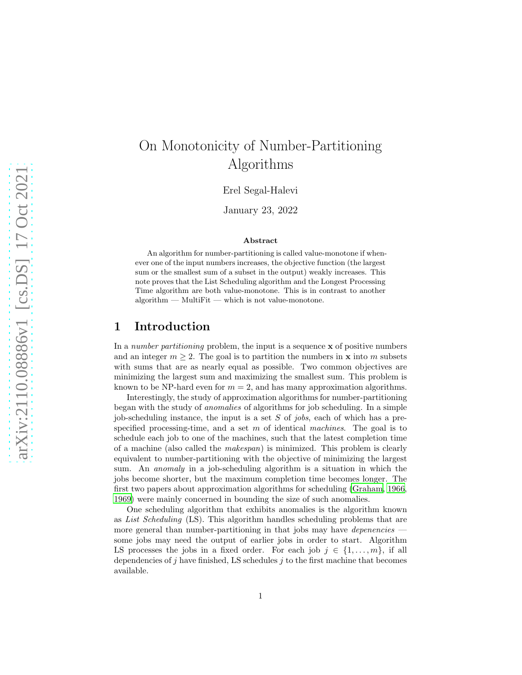# On Monotonicity of Number-Partitioning Algorithms

Erel Segal-Halevi

January 23, 2022

#### Abstract

An algorithm for number-partitioning is called value-monotone if whenever one of the input numbers increases, the objective function (the largest sum or the smallest sum of a subset in the output) weakly increases. This note proves that the List Scheduling algorithm and the Longest Processing Time algorithm are both value-monotone. This is in contrast to another algorithm — MultiFit — which is not value-monotone.

## 1 Introduction

In a number partitioning problem, the input is a sequence  $x$  of positive numbers and an integer  $m \geq 2$ . The goal is to partition the numbers in **x** into m subsets with sums that are as nearly equal as possible. Two common objectives are minimizing the largest sum and maximizing the smallest sum. This problem is known to be NP-hard even for  $m = 2$ , and has many approximation algorithms.

Interestingly, the study of approximation algorithms for number-partitioning began with the study of anomalies of algorithms for job scheduling. In a simple job-scheduling instance, the input is a set  $S$  of jobs, each of which has a prespecified processing-time, and a set  $m$  of identical machines. The goal is to schedule each job to one of the machines, such that the latest completion time of a machine (also called the makespan) is minimized. This problem is clearly equivalent to number-partitioning with the objective of minimizing the largest sum. An anomaly in a job-scheduling algorithm is a situation in which the jobs become shorter, but the maximum completion time becomes longer. The first two papers about approximation algorithms for scheduling [\(Graham](#page-7-0), [1966,](#page-7-0) [1969\)](#page-7-1) were mainly concerned in bounding the size of such anomalies.

One scheduling algorithm that exhibits anomalies is the algorithm known as List Scheduling (LS). This algorithm handles scheduling problems that are more general than number-partitioning in that jobs may have *depenencies* some jobs may need the output of earlier jobs in order to start. Algorithm LS processes the jobs in a fixed order. For each job  $j \in \{1, \ldots, m\}$ , if all dependencies of j have finished, LS schedules  $j$  to the first machine that becomes available.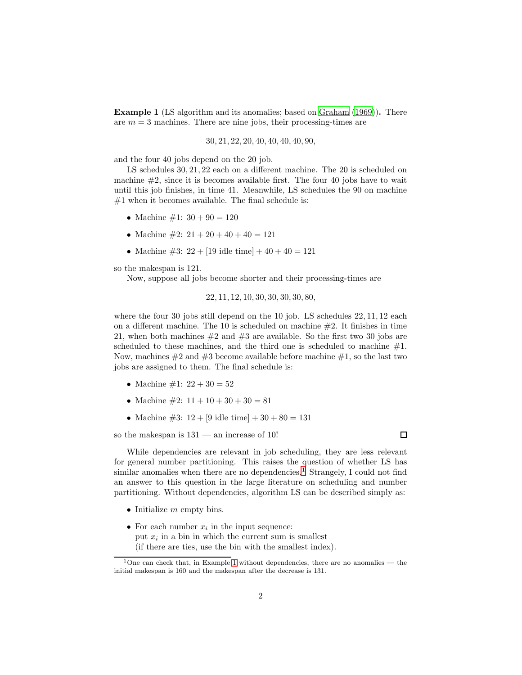<span id="page-1-1"></span>Example 1 (LS algorithm and its anomalies; based on [Graham \(1969\)](#page-7-1)). There are  $m = 3$  machines. There are nine jobs, their processing-times are

$$
30, 21, 22, 20, 40, 40, 40, 40, 90,
$$

and the four 40 jobs depend on the 20 job.

LS schedules  $30, 21, 22$  each on a different machine. The 20 is scheduled on machine  $\#2$ , since it is becomes available first. The four 40 jobs have to wait until this job finishes, in time 41. Meanwhile, LS schedules the 90 on machine  $#1$  when it becomes available. The final schedule is:

- Machine  $\#1: 30 + 90 = 120$
- Machine  $\#2$ :  $21 + 20 + 40 + 40 = 121$
- Machine  $\#3: 22 + [19 \text{ idle time}] + 40 + 40 = 121$

so the makespan is 121.

Now, suppose all jobs become shorter and their processing-times are

$$
22, 11, 12, 10, 30, 30, 30, 30, 80, \\
$$

where the four 30 jobs still depend on the 10 job. LS schedules  $22, 11, 12$  each on a different machine. The 10 is scheduled on machine  $#2$ . It finishes in time 21, when both machines  $#2$  and  $#3$  are available. So the first two 30 jobs are scheduled to these machines, and the third one is scheduled to machine  $#1$ . Now, machines  $#2$  and  $#3$  become available before machine  $#1$ , so the last two jobs are assigned to them. The final schedule is:

- Machine  $\#1: 22 + 30 = 52$
- Machine  $\#2$ :  $11 + 10 + 30 + 30 = 81$
- Machine #3:  $12 + [9 \text{ idle time}] + 30 + 80 = 131$

so the makespan is  $131 -$  an increase of 10!

While dependencies are relevant in job scheduling, they are less relevant for general number partitioning. This raises the question of whether LS has similar anomalies when there are no dependencies.<sup>[1](#page-1-0)</sup> Strangely, I could not find an answer to this question in the large literature on scheduling and number partitioning. Without dependencies, algorithm LS can be described simply as:

- Initialize  $m$  empty bins.
- For each number  $x_i$  in the input sequence: put  $x_i$  in a bin in which the current sum is smallest (if there are ties, use the bin with the smallest index).

 $\Box$ 

<span id="page-1-0"></span><sup>&</sup>lt;sup>1</sup>One can check that, in Example [1](#page-1-1) without dependencies, there are no anomalies — the initial makespan is 160 and the makespan after the decrease is 131.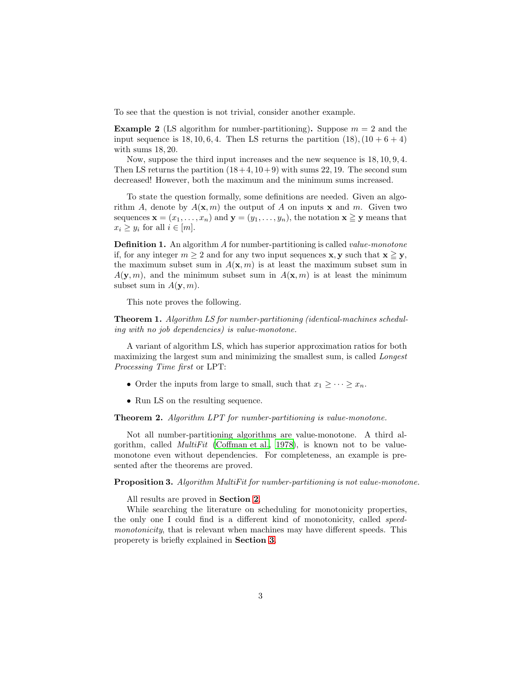To see that the question is not trivial, consider another example.

**Example 2** (LS algorithm for number-partitioning). Suppose  $m = 2$  and the input sequence is 18, 10, 6, 4. Then LS returns the partition  $(18)$ ,  $(10 + 6 + 4)$ with sums 18, 20.

Now, suppose the third input increases and the new sequence is 18, 10, 9, 4. Then LS returns the partition  $(18+4, 10+9)$  with sums 22, 19. The second sum decreased! However, both the maximum and the minimum sums increased.

To state the question formally, some definitions are needed. Given an algorithm A, denote by  $A(\mathbf{x}, m)$  the output of A on inputs **x** and m. Given two sequences  $\mathbf{x} = (x_1, \ldots, x_n)$  and  $\mathbf{y} = (y_1, \ldots, y_n)$ , the notation  $\mathbf{x} \geq \mathbf{y}$  means that  $x_i \geq y_i$  for all  $i \in [m]$ .

**Definition 1.** An algorithm A for number-partitioning is called *value-monotone* if, for any integer  $m \geq 2$  and for any two input sequences **x**, **y** such that  $\mathbf{x} \geq \mathbf{y}$ , the maximum subset sum in  $A(\mathbf{x}, m)$  is at least the maximum subset sum in  $A(\mathbf{y}, m)$ , and the minimum subset sum in  $A(\mathbf{x}, m)$  is at least the minimum subset sum in  $A(\mathbf{y}, m)$ .

This note proves the following.

<span id="page-2-0"></span>**Theorem 1.** Algorithm LS for number-partitioning (identical-machines scheduling with no job dependencies) is value-monotone.

A variant of algorithm LS, which has superior approximation ratios for both maximizing the largest sum and minimizing the smallest sum, is called Longest Processing Time first or LPT:

- Order the inputs from large to small, such that  $x_1 \geq \cdots \geq x_n$ .
- Run LS on the resulting sequence.

<span id="page-2-1"></span>Theorem 2. Algorithm LPT for number-partitioning is value-monotone.

Not all number-partitioning algorithms are value-monotone. A third algorithm, called MultiFit [\(Coffman et al., 1978\)](#page-7-2), is known not to be valuemonotone even without dependencies. For completeness, an example is presented after the theorems are proved.

#### Proposition 3. Algorithm MultiFit for number-partitioning is not value-monotone.

All results are proved in Section [2](#page-3-0).

While searching the literature on scheduling for monotonicity properties, the only one I could find is a different kind of monotonicity, called speedmonotonicity, that is relevant when machines may have different speeds. This properety is briefly explained in Section [3](#page-6-0).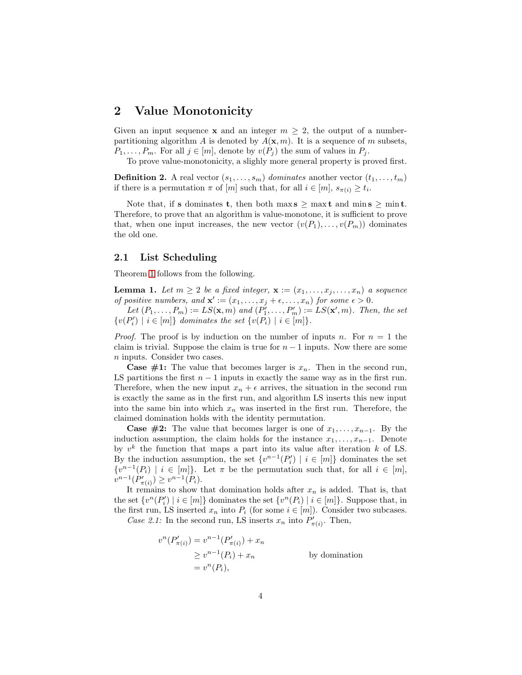## <span id="page-3-0"></span>2 Value Monotonicity

Given an input sequence **x** and an integer  $m \geq 2$ , the output of a numberpartitioning algorithm A is denoted by  $A(\mathbf{x}, m)$ . It is a sequence of m subsets,  $P_1, \ldots, P_m$ . For all  $j \in [m]$ , denote by  $v(P_j)$  the sum of values in  $P_j$ .

To prove value-monotonicity, a slighly more general property is proved first.

**Definition 2.** A real vector  $(s_1, \ldots, s_m)$  dominates another vector  $(t_1, \ldots, t_m)$ if there is a permutation  $\pi$  of  $[m]$  such that, for all  $i \in [m]$ ,  $s_{\pi(i)} \geq t_i$ .

Note that, if **s** dominates **t**, then both max  $s \geq \max t$  and min  $s \geq \min t$ . Therefore, to prove that an algorithm is value-monotone, it is sufficient to prove that, when one input increases, the new vector  $(v(P_1), \ldots, v(P_m))$  dominates the old one.

#### 2.1 List Scheduling

Theorem [1](#page-2-0) follows from the following.

<span id="page-3-1"></span>**Lemma 1.** Let  $m \geq 2$  be a fixed integer,  $\mathbf{x} := (x_1, \ldots, x_j, \ldots, x_n)$  a sequence of positive numbers, and  $\mathbf{x}' := (x_1, \ldots, x_j + \epsilon, \ldots, x_n)$  for some  $\epsilon > 0$ .

Let  $(P_1,\ldots,P_m) := LS(\mathbf{x},m)$  and  $(P'_1,\ldots,P'_m) := LS(\mathbf{x}',m)$ . Then, the set  $\{v(P'_i) \mid i \in [m]\}\$  dominates the set  $\{v(P_i) \mid i \in [m]\}.$ 

*Proof.* The proof is by induction on the number of inputs n. For  $n = 1$  the claim is trivial. Suppose the claim is true for  $n - 1$  inputs. Now there are some n inputs. Consider two cases.

**Case #1:** The value that becomes larger is  $x_n$ . Then in the second run, LS partitions the first  $n - 1$  inputs in exactly the same way as in the first run. Therefore, when the new input  $x_n + \epsilon$  arrives, the situation in the second run is exactly the same as in the first run, and algorithm LS inserts this new input into the same bin into which  $x_n$  was inserted in the first run. Therefore, the claimed domination holds with the identity permutation.

**Case #2:** The value that becomes larger is one of  $x_1, \ldots, x_{n-1}$ . By the induction assumption, the claim holds for the instance  $x_1, \ldots, x_{n-1}$ . Denote by  $v^k$  the function that maps a part into its value after iteration k of LS. By the induction assumption, the set  $\{v^{n-1}(P_i') | i \in [m]\}$  dominates the set  $\{v^{n-1}(P_i) \mid i \in [m]\}\$ . Let  $\pi$  be the permutation such that, for all  $i \in [m]$ ,  $\overline{v}^{n-1}(\overline{P'_\pi})$  $(v''_{\pi(i)}) \geq v^{n-1}(P_i).$ 

It remains to show that domination holds after  $x_n$  is added. That is, that the set  $\{v^n(P'_i) \mid i \in [m]\}$  dominates the set  $\{v^n(P_i) \mid i \in [m]\}$ . Suppose that, in the first run, LS inserted  $x_n$  into  $P_i$  (for some  $i \in [m]$ ). Consider two subcases.

Case 2.1: In the second run, LS inserts  $x_n$  into  $P'_n$  $_{\pi(i)}^{\prime}$ . Then,

$$
v^{n}(P'_{\pi(i)}) = v^{n-1}(P'_{\pi(i)}) + x_{n}
$$
  
\n
$$
\geq v^{n-1}(P_{i}) + x_{n}
$$
 by domination  
\n
$$
= v^{n}(P_{i}),
$$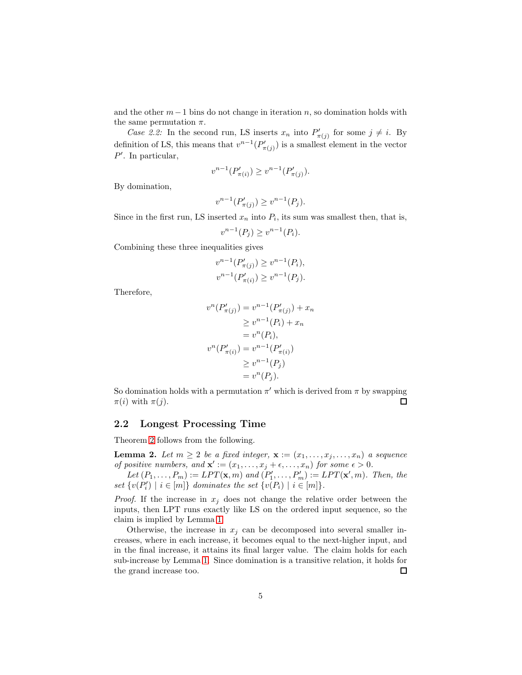and the other  $m-1$  bins do not change in iteration n, so domination holds with the same permutation  $\pi$ .

Case 2.2: In the second run, LS inserts  $x_n$  into  $P'_n$  $\sigma'_{\pi(j)}$  for some  $j \neq i$ . By definition of LS, this means that  $v^{n-1}(P'_n)$  $(\mathbf{m}'_{\pi(j)})$  is a smallest element in the vector  $P'$ . In particular,

$$
v^{n-1}(P'_{\pi(i)}) \ge v^{n-1}(P'_{\pi(j)}).
$$

By domination,

$$
v^{n-1}(P'_{\pi(j)}) \ge v^{n-1}(P_j).
$$

Since in the first run, LS inserted  $x_n$  into  $P_i$ , its sum was smallest then, that is,

$$
v^{n-1}(P_j) \ge v^{n-1}(P_i).
$$

Combining these three inequalities gives

v

$$
v^{n-1}(P'_{\pi(j)}) \ge v^{n-1}(P_i),
$$
  

$$
v^{n-1}(P'_{\pi(i)}) \ge v^{n-1}(P_j).
$$

Therefore,

$$
v^{n}(P'_{\pi(j)}) = v^{n-1}(P'_{\pi(j)}) + x_{n}
$$
  
\n
$$
\geq v^{n-1}(P_{i}) + x_{n}
$$
  
\n
$$
= v^{n}(P_{i}),
$$
  
\n
$$
v^{n}(P'_{\pi(i)}) = v^{n-1}(P'_{\pi(i)})
$$
  
\n
$$
\geq v^{n-1}(P_{j})
$$
  
\n
$$
= v^{n}(P_{j}).
$$

So domination holds with a permutation  $\pi'$  which is derived from  $\pi$  by swapping  $\pi(i)$  with  $\pi(j)$ .  $\Box$ 

#### 2.2 Longest Processing Time

Theorem [2](#page-2-1) follows from the following.

**Lemma 2.** Let  $m \geq 2$  be a fixed integer,  $\mathbf{x} := (x_1, \ldots, x_i, \ldots, x_n)$  a sequence of positive numbers, and  $\mathbf{x}' := (x_1, \ldots, x_j + \epsilon, \ldots, x_n)$  for some  $\epsilon > 0$ .

Let  $(P_1, \ldots, P_m) := LPT(\mathbf{x}, m)$  and  $(P'_1, \ldots, P'_m) := LPT(\mathbf{x}', m)$ . Then, the set  $\{v(P'_i) \mid i \in [m]\}$  dominates the set  $\{v(P_i) \mid i \in [m]\}.$ 

*Proof.* If the increase in  $x_j$  does not change the relative order between the inputs, then LPT runs exactly like LS on the ordered input sequence, so the claim is implied by Lemma [1.](#page-3-1)

Otherwise, the increase in  $x_j$  can be decomposed into several smaller increases, where in each increase, it becomes equal to the next-higher input, and in the final increase, it attains its final larger value. The claim holds for each sub-increase by Lemma [1.](#page-3-1) Since domination is a transitive relation, it holds for the grand increase too.  $\Box$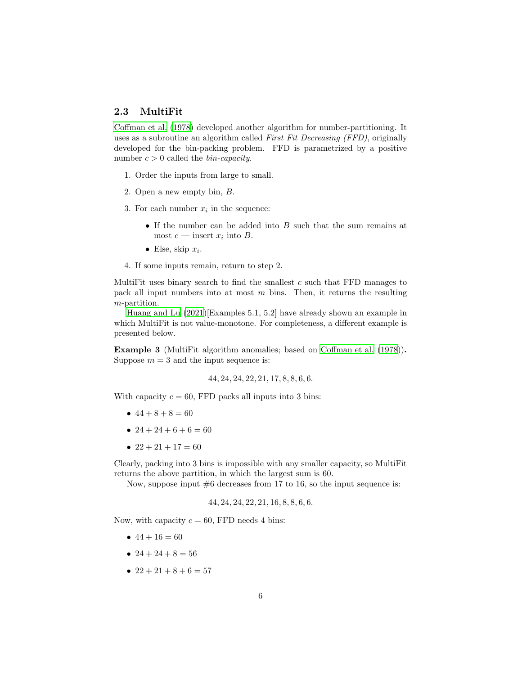### 2.3 MultiFit

[Coffman et al. \(1978](#page-7-2)) developed another algorithm for number-partitioning. It uses as a subroutine an algorithm called First Fit Decreasing (FFD), originally developed for the bin-packing problem. FFD is parametrized by a positive number  $c > 0$  called the *bin-capacity*.

- 1. Order the inputs from large to small.
- 2. Open a new empty bin, B.
- 3. For each number  $x_i$  in the sequence:
	- $\bullet$  If the number can be added into  $B$  such that the sum remains at most  $c$  — insert  $x_i$  into  $B$ .
	- Else, skip  $x_i$ .
- 4. If some inputs remain, return to step 2.

MultiFit uses binary search to find the smallest  $c$  such that FFD manages to pack all input numbers into at most  $m$  bins. Then, it returns the resulting m-partition.

[Huang and Lu \(2021\)](#page-8-0)[Examples 5.1, 5.2] have already shown an example in which MultiFit is not value-monotone. For completeness, a different example is presented below.

Example 3 (MultiFit algorithm anomalies; based on [Coffman et al. \(1978\)](#page-7-2)). Suppose  $m = 3$  and the input sequence is:

$$
44, 24, 24, 22, 21, 17, 8, 8, 6, 6.
$$

With capacity  $c = 60$ , FFD packs all inputs into 3 bins:

- $44 + 8 + 8 = 60$
- $24 + 24 + 6 + 6 = 60$
- $22 + 21 + 17 = 60$

Clearly, packing into 3 bins is impossible with any smaller capacity, so MultiFit returns the above partition, in which the largest sum is 60.

Now, suppose input  $#6$  decreases from 17 to 16, so the input sequence is:

$$
44, 24, 24, 22, 21, 16, 8, 8, 6, 6.
$$

Now, with capacity  $c = 60$ , FFD needs 4 bins:

- $44 + 16 = 60$
- $24 + 24 + 8 = 56$
- $22 + 21 + 8 + 6 = 57$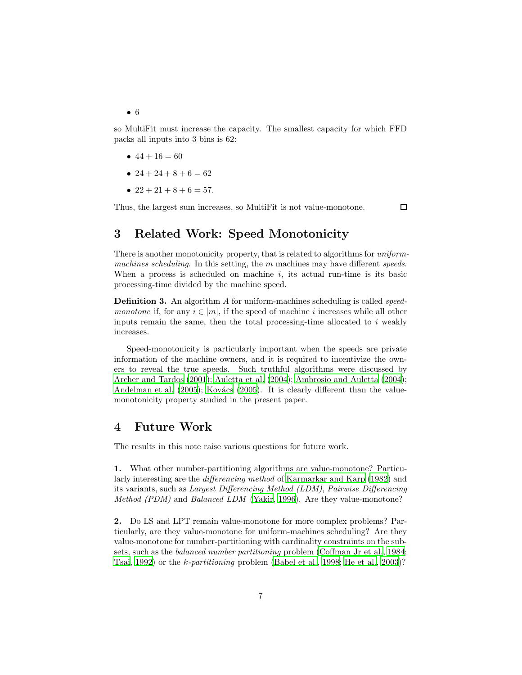• 6

so MultiFit must increase the capacity. The smallest capacity for which FFD packs all inputs into 3 bins is 62:

- $44 + 16 = 60$
- $24 + 24 + 8 + 6 = 62$
- $22 + 21 + 8 + 6 = 57$ .

<span id="page-6-0"></span>Thus, the largest sum increases, so MultiFit is not value-monotone.

 $\Box$ 

# 3 Related Work: Speed Monotonicity

There is another monotonicity property, that is related to algorithms for uniformmachines scheduling. In this setting, the  $m$  machines may have different speeds. When a process is scheduled on machine i, its actual run-time is its basic processing-time divided by the machine speed.

**Definition 3.** An algorithm A for uniform-machines scheduling is called *speed*monotone if, for any  $i \in [m]$ , if the speed of machine i increases while all other inputs remain the same, then the total processing-time allocated to  $i$  weakly increases.

Speed-monotonicity is particularly important when the speeds are private information of the machine owners, and it is required to incentivize the owners to reveal the true speeds. Such truthful algorithms were discussed by [Archer and Tardos \(2001\)](#page-7-3); [Auletta et al. \(2004](#page-7-4)); [Ambrosio and Auletta \(2004\)](#page-7-5); [Andelman et al. \(2005\)](#page-7-6); Kovács (2005). It is clearly different than the valuemonotonicity property studied in the present paper.

## 4 Future Work

The results in this note raise various questions for future work.

1. What other number-partitioning algorithms are value-monotone? Particularly interesting are the differencing method of [Karmarkar and Karp \(1982\)](#page-8-2) and its variants, such as Largest Differencing Method (LDM), Pairwise Differencing Method (PDM) and Balanced LDM [\(Yakir, 1996\)](#page-8-3). Are they value-monotone?

2. Do LS and LPT remain value-monotone for more complex problems? Particularly, are they value-monotone for uniform-machines scheduling? Are they value-monotone for number-partitioning with cardinality constraints on the subsets, such as the balanced number partitioning problem [\(Coffman Jr et al.](#page-7-7), [1984;](#page-7-7) [Tsai, 1992\)](#page-8-4) or the k-partitioning problem [\(Babel et al.](#page-7-8), [1998](#page-7-8); [He et al., 2003\)](#page-7-9)?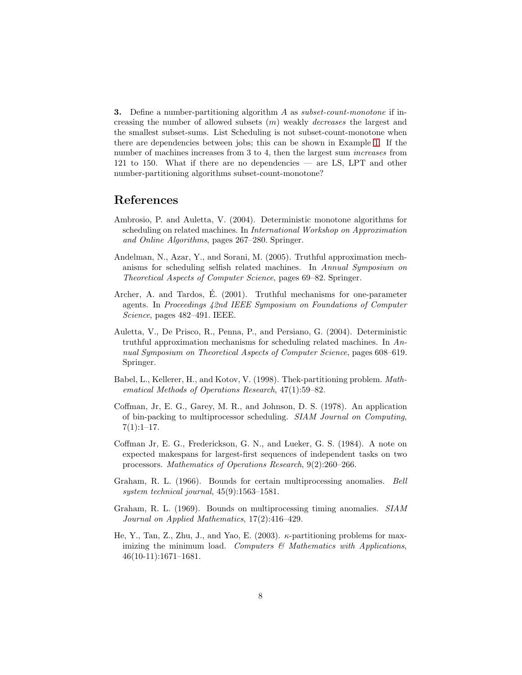**3.** Define a number-partitioning algorithm A as subset-count-monotone if increasing the number of allowed subsets  $(m)$  weakly *decreases* the largest and the smallest subset-sums. List Scheduling is not subset-count-monotone when there are dependencies between jobs; this can be shown in Example [1.](#page-1-1) If the number of machines increases from 3 to 4, then the largest sum increases from 121 to 150. What if there are no dependencies — are LS, LPT and other number-partitioning algorithms subset-count-monotone?

## References

- <span id="page-7-5"></span>Ambrosio, P. and Auletta, V. (2004). Deterministic monotone algorithms for scheduling on related machines. In International Workshop on Approximation and Online Algorithms, pages 267–280. Springer.
- <span id="page-7-6"></span>Andelman, N., Azar, Y., and Sorani, M. (2005). Truthful approximation mechanisms for scheduling selfish related machines. In Annual Symposium on Theoretical Aspects of Computer Science, pages 69–82. Springer.
- <span id="page-7-3"></span>Archer, A. and Tardos, E. (2001). Truthful mechanisms for one-parameter ´ agents. In Proceedings 42nd IEEE Symposium on Foundations of Computer Science, pages 482–491. IEEE.
- <span id="page-7-4"></span>Auletta, V., De Prisco, R., Penna, P., and Persiano, G. (2004). Deterministic truthful approximation mechanisms for scheduling related machines. In Annual Symposium on Theoretical Aspects of Computer Science, pages 608–619. Springer.
- <span id="page-7-8"></span>Babel, L., Kellerer, H., and Kotov, V. (1998). Thek-partitioning problem. Mathematical Methods of Operations Research, 47(1):59–82.
- <span id="page-7-2"></span>Coffman, Jr, E. G., Garey, M. R., and Johnson, D. S. (1978). An application of bin-packing to multiprocessor scheduling. SIAM Journal on Computing,  $7(1):1-17.$
- <span id="page-7-7"></span>Coffman Jr, E. G., Frederickson, G. N., and Lueker, G. S. (1984). A note on expected makespans for largest-first sequences of independent tasks on two processors. Mathematics of Operations Research, 9(2):260–266.
- <span id="page-7-0"></span>Graham, R. L. (1966). Bounds for certain multiprocessing anomalies. Bell system technical journal, 45(9):1563–1581.
- <span id="page-7-1"></span>Graham, R. L. (1969). Bounds on multiprocessing timing anomalies. SIAM Journal on Applied Mathematics, 17(2):416–429.
- <span id="page-7-9"></span>He, Y., Tan, Z., Zhu, J., and Yao, E. (2003).  $\kappa$ -partitioning problems for maximizing the minimum load. Computers  $\mathcal{B}$  Mathematics with Applications, 46(10-11):1671–1681.